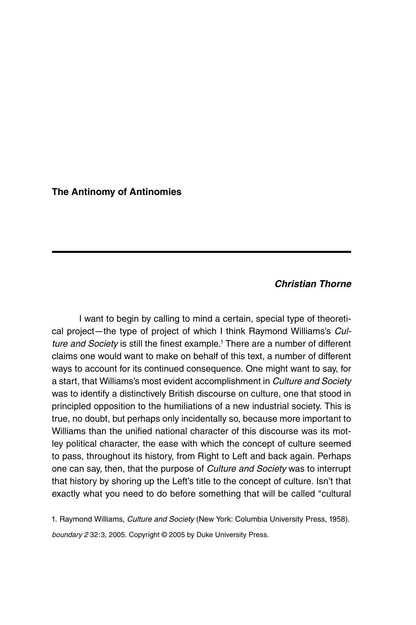The Antinomy of Antinomies

## Christian Thorne

I want to begin by calling to mind a certain, special type of theoretical project—the type of project of which I think Raymond Williams's Culture and Society is still the finest example.<sup>1</sup> There are a number of different claims one would want to make on behalf of this text, a number of different ways to account for its continued consequence. One might want to say, for a start, that Williams's most evident accomplishment in Culture and Society was to identify a distinctively British discourse on culture, one that stood in principled opposition to the humiliations of a new industrial society. This is true, no doubt, but perhaps only incidentally so, because more important to Williams than the unified national character of this discourse was its motley political character, the ease with which the concept of culture seemed to pass, throughout its history, from Right to Left and back again. Perhaps one can say, then, that the purpose of Culture and Society was to interrupt that history by shoring up the Left's title to the concept of culture. Isn't that exactly what you need to do before something that will be called ''cultural

1. Raymond Williams, Culture and Society (New York: Columbia University Press, 1958). boundary 2 32:3, 2005. Copyright © 2005 by Duke University Press.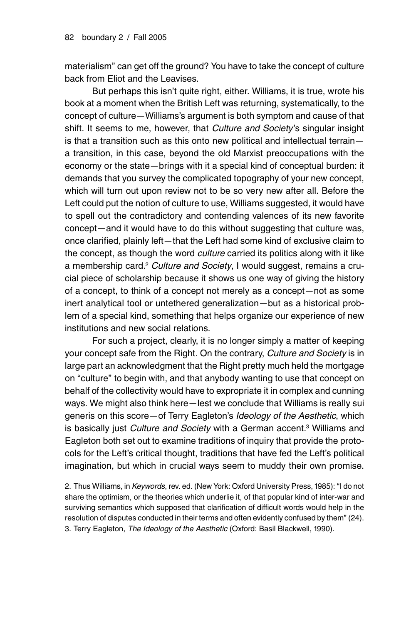materialism'' can get off the ground? You have to take the concept of culture back from Eliot and the Leavises.

But perhaps this isn't quite right, either. Williams, it is true, wrote his book at a moment when the British Left was returning, systematically, to the concept of culture—Williams's argument is both symptom and cause of that shift. It seems to me, however, that Culture and Society's singular insight is that a transition such as this onto new political and intellectual terrain a transition, in this case, beyond the old Marxist preoccupations with the economy or the state—brings with it a special kind of conceptual burden: it demands that you survey the complicated topography of your new concept, which will turn out upon review not to be so very new after all. Before the Left could put the notion of culture to use, Williams suggested, it would have to spell out the contradictory and contending valences of its new favorite concept—and it would have to do this without suggesting that culture was, once clarified, plainly left—that the Left had some kind of exclusive claim to the concept, as though the word *culture* carried its politics along with it like a membership card.<sup>2</sup> Culture and Society, I would suggest, remains a crucial piece of scholarship because it shows us one way of giving the history of a concept, to think of a concept not merely as a concept—not as some inert analytical tool or untethered generalization—but as a historical problem of a special kind, something that helps organize our experience of new institutions and new social relations.

For such a project, clearly, it is no longer simply a matter of keeping your concept safe from the Right. On the contrary, Culture and Society is in large part an acknowledgment that the Right pretty much held the mortgage on ''culture'' to begin with, and that anybody wanting to use that concept on behalf of the collectivity would have to expropriate it in complex and cunning ways. We might also think here—lest we conclude that Williams is really sui generis on this score-of Terry Eagleton's Ideology of the Aesthetic, which is basically just Culture and Society with a German accent.<sup>3</sup> Williams and Eagleton both set out to examine traditions of inquiry that provide the protocols for the Left's critical thought, traditions that have fed the Left's political imagination, but which in crucial ways seem to muddy their own promise.

2. Thus Williams, in Keywords, rev. ed. (New York: Oxford University Press, 1985): "I do not share the optimism, or the theories which underlie it, of that popular kind of inter-war and surviving semantics which supposed that clarification of difficult words would help in the resolution of disputes conducted in their terms and often evidently confused by them'' (24). 3. Terry Eagleton, The Ideology of the Aesthetic (Oxford: Basil Blackwell, 1990).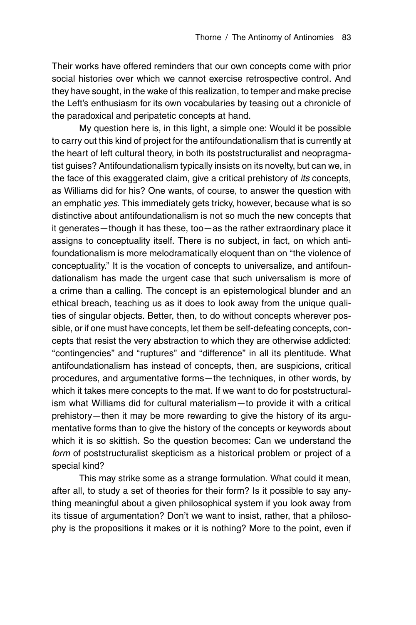Their works have offered reminders that our own concepts come with prior social histories over which we cannot exercise retrospective control. And they have sought, in the wake of this realization, to temper and make precise the Left's enthusiasm for its own vocabularies by teasing out a chronicle of the paradoxical and peripatetic concepts at hand.

My question here is, in this light, a simple one: Would it be possible to carry out this kind of project for the antifoundationalism that is currently at the heart of left cultural theory, in both its poststructuralist and neopragmatist guises? Antifoundationalism typically insists on its novelty, but can we, in the face of this exaggerated claim, give a critical prehistory of its concepts, as Williams did for his? One wants, of course, to answer the question with an emphatic yes. This immediately gets tricky, however, because what is so distinctive about antifoundationalism is not so much the new concepts that it generates—though it has these, too—as the rather extraordinary place it assigns to conceptuality itself. There is no subject, in fact, on which antifoundationalism is more melodramatically eloquent than on ''the violence of conceptuality.'' It is the vocation of concepts to universalize, and antifoundationalism has made the urgent case that such universalism is more of a crime than a calling. The concept is an epistemological blunder and an ethical breach, teaching us as it does to look away from the unique qualities of singular objects. Better, then, to do without concepts wherever possible, or if one must have concepts, let them be self-defeating concepts, concepts that resist the very abstraction to which they are otherwise addicted: "contingencies" and "ruptures" and "difference" in all its plentitude. What antifoundationalism has instead of concepts, then, are suspicions, critical procedures, and argumentative forms—the techniques, in other words, by which it takes mere concepts to the mat. If we want to do for poststructuralism what Williams did for cultural materialism—to provide it with a critical prehistory—then it may be more rewarding to give the history of its argumentative forms than to give the history of the concepts or keywords about which it is so skittish. So the question becomes: Can we understand the form of poststructuralist skepticism as a historical problem or project of a special kind?

This may strike some as a strange formulation. What could it mean, after all, to study a set of theories for their form? Is it possible to say anything meaningful about a given philosophical system if you look away from its tissue of argumentation? Don't we want to insist, rather, that a philosophy is the propositions it makes or it is nothing? More to the point, even if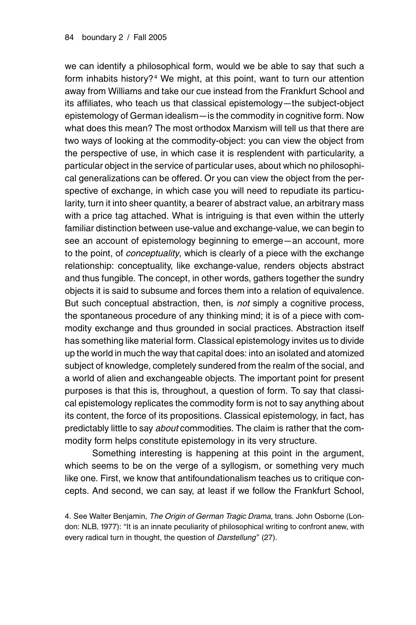we can identify a philosophical form, would we be able to say that such a form inhabits history?<sup>4</sup> We might, at this point, want to turn our attention away from Williams and take our cue instead from the Frankfurt School and its affiliates, who teach us that classical epistemology—the subject-object epistemology of German idealism—is the commodity in cognitive form. Now what does this mean? The most orthodox Marxism will tell us that there are two ways of looking at the commodity-object: you can view the object from the perspective of use, in which case it is resplendent with particularity, a particular object in the service of particular uses, about which no philosophical generalizations can be offered. Or you can view the object from the perspective of exchange, in which case you will need to repudiate its particularity, turn it into sheer quantity, a bearer of abstract value, an arbitrary mass with a price tag attached. What is intriguing is that even within the utterly familiar distinction between use-value and exchange-value, we can begin to see an account of epistemology beginning to emerge—an account, more to the point, of conceptuality, which is clearly of a piece with the exchange relationship: conceptuality, like exchange-value, renders objects abstract and thus fungible. The concept, in other words, gathers together the sundry objects it is said to subsume and forces them into a relation of equivalence. But such conceptual abstraction, then, is not simply a cognitive process, the spontaneous procedure of any thinking mind; it is of a piece with commodity exchange and thus grounded in social practices. Abstraction itself has something like material form. Classical epistemology invites us to divide up the world in much the way that capital does: into an isolated and atomized subject of knowledge, completely sundered from the realm of the social, and a world of alien and exchangeable objects. The important point for present purposes is that this is, throughout, a question of form. To say that classical epistemology replicates the commodity form is not to say anything about its content, the force of its propositions. Classical epistemology, in fact, has predictably little to say about commodities. The claim is rather that the commodity form helps constitute epistemology in its very structure.

Something interesting is happening at this point in the argument, which seems to be on the verge of a syllogism, or something very much like one. First, we know that antifoundationalism teaches us to critique concepts. And second, we can say, at least if we follow the Frankfurt School,

4. See Walter Benjamin, The Origin of German Tragic Drama, trans. John Osborne (London: NLB, 1977): ''It is an innate peculiarity of philosophical writing to confront anew, with every radical turn in thought, the question of Darstellung" (27).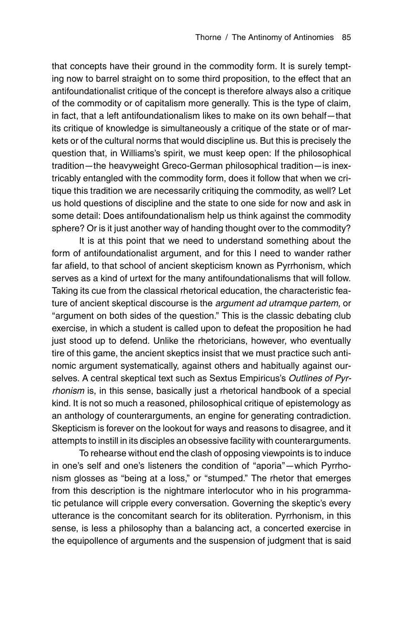that concepts have their ground in the commodity form. It is surely tempting now to barrel straight on to some third proposition, to the effect that an antifoundationalist critique of the concept is therefore always also a critique of the commodity or of capitalism more generally. This is the type of claim, in fact, that a left antifoundationalism likes to make on its own behalf—that its critique of knowledge is simultaneously a critique of the state or of markets or of the cultural norms that would discipline us. But this is precisely the question that, in Williams's spirit, we must keep open: If the philosophical tradition—the heavyweight Greco-German philosophical tradition—is inextricably entangled with the commodity form, does it follow that when we critique this tradition we are necessarily critiquing the commodity, as well? Let us hold questions of discipline and the state to one side for now and ask in some detail: Does antifoundationalism help us think against the commodity sphere? Or is it just another way of handing thought over to the commodity?

It is at this point that we need to understand something about the form of antifoundationalist argument, and for this I need to wander rather far afield, to that school of ancient skepticism known as Pyrrhonism, which serves as a kind of urtext for the many antifoundationalisms that will follow. Taking its cue from the classical rhetorical education, the characteristic feature of ancient skeptical discourse is the argument ad utramque partem, or "argument on both sides of the question." This is the classic debating club exercise, in which a student is called upon to defeat the proposition he had just stood up to defend. Unlike the rhetoricians, however, who eventually tire of this game, the ancient skeptics insist that we must practice such antinomic argument systematically, against others and habitually against ourselves. A central skeptical text such as Sextus Empiricus's Outlines of Pyrrhonism is, in this sense, basically just a rhetorical handbook of a special kind. It is not so much a reasoned, philosophical critique of epistemology as an anthology of counterarguments, an engine for generating contradiction. Skepticism is forever on the lookout for ways and reasons to disagree, and it attempts to instill in its disciples an obsessive facility with counterarguments.

To rehearse without end the clash of opposing viewpoints is to induce in one's self and one's listeners the condition of ''aporia''—which Pyrrhonism glosses as "being at a loss," or "stumped." The rhetor that emerges from this description is the nightmare interlocutor who in his programmatic petulance will cripple every conversation. Governing the skeptic's every utterance is the concomitant search for its obliteration. Pyrrhonism, in this sense, is less a philosophy than a balancing act, a concerted exercise in the equipollence of arguments and the suspension of judgment that is said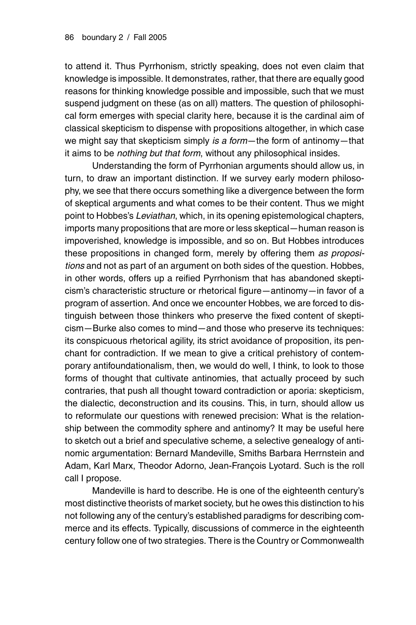to attend it. Thus Pyrrhonism, strictly speaking, does not even claim that knowledge is impossible. It demonstrates, rather, that there are equally good reasons for thinking knowledge possible and impossible, such that we must suspend judgment on these (as on all) matters. The question of philosophical form emerges with special clarity here, because it is the cardinal aim of classical skepticism to dispense with propositions altogether, in which case we might say that skepticism simply is a form—the form of antinomy—that it aims to be *nothing but that form*, without any philosophical insides.

Understanding the form of Pyrrhonian arguments should allow us, in turn, to draw an important distinction. If we survey early modern philosophy, we see that there occurs something like a divergence between the form of skeptical arguments and what comes to be their content. Thus we might point to Hobbes's Leviathan, which, in its opening epistemological chapters, imports many propositions that are more or less skeptical—human reason is impoverished, knowledge is impossible, and so on. But Hobbes introduces these propositions in changed form, merely by offering them as propositions and not as part of an argument on both sides of the question. Hobbes, in other words, offers up a reified Pyrrhonism that has abandoned skepticism's characteristic structure or rhetorical figure—antinomy—in favor of a program of assertion. And once we encounter Hobbes, we are forced to distinguish between those thinkers who preserve the fixed content of skepticism—Burke also comes to mind—and those who preserve its techniques: its conspicuous rhetorical agility, its strict avoidance of proposition, its penchant for contradiction. If we mean to give a critical prehistory of contemporary antifoundationalism, then, we would do well, I think, to look to those forms of thought that cultivate antinomies, that actually proceed by such contraries, that push all thought toward contradiction or aporia: skepticism, the dialectic, deconstruction and its cousins. This, in turn, should allow us to reformulate our questions with renewed precision: What is the relationship between the commodity sphere and antinomy? It may be useful here to sketch out a brief and speculative scheme, a selective genealogy of antinomic argumentation: Bernard Mandeville, Smiths Barbara Herrnstein and Adam, Karl Marx, Theodor Adorno, Jean-François Lyotard. Such is the roll call I propose.

Mandeville is hard to describe. He is one of the eighteenth century's most distinctive theorists of market society, but he owes this distinction to his not following any of the century's established paradigms for describing commerce and its effects. Typically, discussions of commerce in the eighteenth century follow one of two strategies. There is the Country or Commonwealth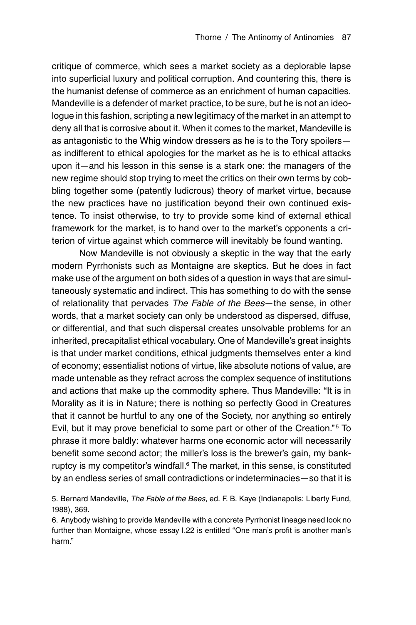critique of commerce, which sees a market society as a deplorable lapse into superficial luxury and political corruption. And countering this, there is the humanist defense of commerce as an enrichment of human capacities. Mandeville is a defender of market practice, to be sure, but he is not an ideologue in this fashion, scripting a new legitimacy of the market in an attempt to deny all that is corrosive about it. When it comes to the market, Mandeville is as antagonistic to the Whig window dressers as he is to the Tory spoilers as indifferent to ethical apologies for the market as he is to ethical attacks upon it—and his lesson in this sense is a stark one: the managers of the new regime should stop trying to meet the critics on their own terms by cobbling together some (patently ludicrous) theory of market virtue, because the new practices have no justification beyond their own continued existence. To insist otherwise, to try to provide some kind of external ethical framework for the market, is to hand over to the market's opponents a criterion of virtue against which commerce will inevitably be found wanting.

Now Mandeville is not obviously a skeptic in the way that the early modern Pyrrhonists such as Montaigne are skeptics. But he does in fact make use of the argument on both sides of a question in ways that are simultaneously systematic and indirect. This has something to do with the sense of relationality that pervades The Fable of the Bees—the sense, in other words, that a market society can only be understood as dispersed, diffuse, or differential, and that such dispersal creates unsolvable problems for an inherited, precapitalist ethical vocabulary. One of Mandeville's great insights is that under market conditions, ethical judgments themselves enter a kind of economy; essentialist notions of virtue, like absolute notions of value, are made untenable as they refract across the complex sequence of institutions and actions that make up the commodity sphere. Thus Mandeville: ''It is in Morality as it is in Nature; there is nothing so perfectly Good in Creatures that it cannot be hurtful to any one of the Society, nor anything so entirely Evil, but it may prove beneficial to some part or other of the Creation.''5 To phrase it more baldly: whatever harms one economic actor will necessarily benefit some second actor; the miller's loss is the brewer's gain, my bankruptcy is my competitor's windfall.<sup>6</sup> The market, in this sense, is constituted by an endless series of small contradictions or indeterminacies—so that it is

5. Bernard Mandeville, The Fable of the Bees, ed. F. B. Kaye (Indianapolis: Liberty Fund, 1988), 369.

6. Anybody wishing to provide Mandeville with a concrete Pyrrhonist lineage need look no further than Montaigne, whose essay I.22 is entitled "One man's profit is another man's harm.''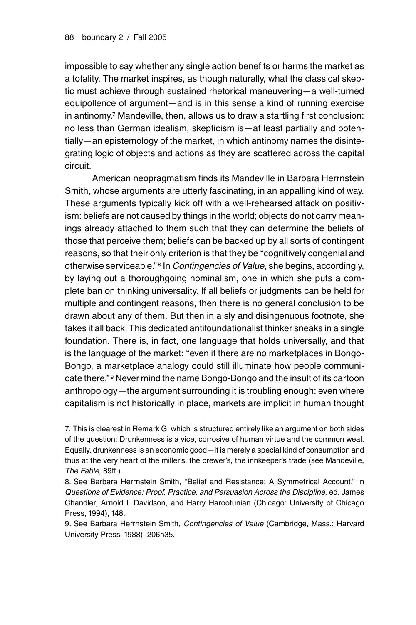impossible to say whether any single action benefits or harms the market as a totality. The market inspires, as though naturally, what the classical skeptic must achieve through sustained rhetorical maneuvering—a well-turned equipollence of argument—and is in this sense a kind of running exercise in antinomy.7 Mandeville, then, allows us to draw a startling first conclusion: no less than German idealism, skepticism is—at least partially and potentially—an epistemology of the market, in which antinomy names the disintegrating logic of objects and actions as they are scattered across the capital circuit.

American neopragmatism finds its Mandeville in Barbara Herrnstein Smith, whose arguments are utterly fascinating, in an appalling kind of way. These arguments typically kick off with a well-rehearsed attack on positivism: beliefs are not caused by things in the world; objects do not carry meanings already attached to them such that they can determine the beliefs of those that perceive them; beliefs can be backed up by all sorts of contingent reasons, so that their only criterion is that they be ''cognitively congenial and otherwise serviceable."<sup>8</sup> In *Contingencies of Value*, she begins, accordingly, by laying out a thoroughgoing nominalism, one in which she puts a complete ban on thinking universality. If all beliefs or judgments can be held for multiple and contingent reasons, then there is no general conclusion to be drawn about any of them. But then in a sly and disingenuous footnote, she takes it all back. This dedicated antifoundationalist thinker sneaks in a single foundation. There is, in fact, one language that holds universally, and that is the language of the market: ''even if there are no marketplaces in Bongo-Bongo, a marketplace analogy could still illuminate how people communicate there."<sup>9</sup> Never mind the name Bongo-Bongo and the insult of its cartoon anthropology—the argument surrounding it is troubling enough: even where capitalism is not historically in place, markets are implicit in human thought

7. This is clearest in Remark G, which is structured entirely like an argument on both sides of the question: Drunkenness is a vice, corrosive of human virtue and the common weal. Equally, drunkenness is an economic good—it is merely a special kind of consumption and thus at the very heart of the miller's, the brewer's, the innkeeper's trade (see Mandeville, The Fable, 89ff.).

8. See Barbara Herrnstein Smith, "Belief and Resistance: A Symmetrical Account," in Questions of Evidence: Proof, Practice, and Persuasion Across the Discipline, ed. James Chandler, Arnold I. Davidson, and Harry Harootunian (Chicago: University of Chicago Press, 1994), 148.

9. See Barbara Herrnstein Smith, Contingencies of Value (Cambridge, Mass.: Harvard University Press, 1988), 206n35.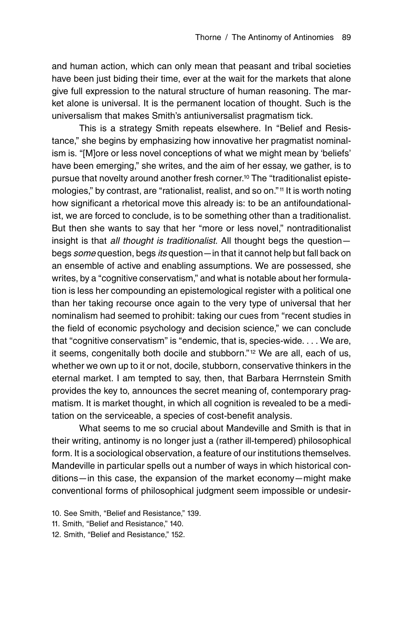and human action, which can only mean that peasant and tribal societies have been just biding their time, ever at the wait for the markets that alone give full expression to the natural structure of human reasoning. The market alone is universal. It is the permanent location of thought. Such is the universalism that makes Smith's antiuniversalist pragmatism tick.

This is a strategy Smith repeats elsewhere. In "Belief and Resistance,'' she begins by emphasizing how innovative her pragmatist nominalism is. ''[M]ore or less novel conceptions of what we might mean by 'beliefs' have been emerging," she writes, and the aim of her essay, we gather, is to pursue that novelty around another fresh corner.10 The ''traditionalist epistemologies," by contrast, are "rationalist, realist, and so on."<sup>11</sup> It is worth noting how significant a rhetorical move this already is: to be an antifoundationalist, we are forced to conclude, is to be something other than a traditionalist. But then she wants to say that her "more or less novel," nontraditionalist insight is that all thought is traditionalist. All thought begs the questionbegs some question, begs its question—in that it cannot help but fall back on an ensemble of active and enabling assumptions. We are possessed, she writes, by a "cognitive conservatism," and what is notable about her formulation is less her compounding an epistemological register with a political one than her taking recourse once again to the very type of universal that her nominalism had seemed to prohibit: taking our cues from "recent studies in the field of economic psychology and decision science,'' we can conclude that "cognitive conservatism" is "endemic, that is, species-wide. . . . We are, it seems, congenitally both docile and stubborn."<sup>12</sup> We are all, each of us, whether we own up to it or not, docile, stubborn, conservative thinkers in the eternal market. I am tempted to say, then, that Barbara Herrnstein Smith provides the key to, announces the secret meaning of, contemporary pragmatism. It is market thought, in which all cognition is revealed to be a meditation on the serviceable, a species of cost-benefit analysis.

What seems to me so crucial about Mandeville and Smith is that in their writing, antinomy is no longer just a (rather ill-tempered) philosophical form. It is a sociological observation, a feature of our institutions themselves. Mandeville in particular spells out a number of ways in which historical conditions—in this case, the expansion of the market economy—might make conventional forms of philosophical judgment seem impossible or undesir-

- 10. See Smith, "Belief and Resistance," 139.
- 11. Smith, "Belief and Resistance," 140.
- 12. Smith, "Belief and Resistance," 152.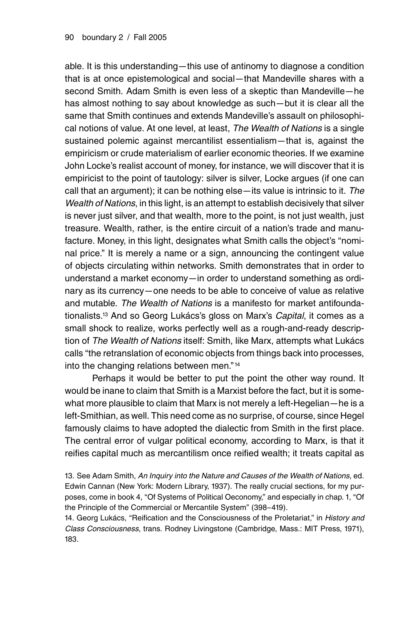able. It is this understanding—this use of antinomy to diagnose a condition that is at once epistemological and social—that Mandeville shares with a second Smith. Adam Smith is even less of a skeptic than Mandeville—he has almost nothing to say about knowledge as such—but it is clear all the same that Smith continues and extends Mandeville's assault on philosophical notions of value. At one level, at least, The Wealth of Nations is a single sustained polemic against mercantilist essentialism—that is, against the empiricism or crude materialism of earlier economic theories. If we examine John Locke's realist account of money, for instance, we will discover that it is empiricist to the point of tautology: silver is silver, Locke argues (if one can call that an argument); it can be nothing else—its value is intrinsic to it. The Wealth of Nations, in this light, is an attempt to establish decisively that silver is never just silver, and that wealth, more to the point, is not just wealth, just treasure. Wealth, rather, is the entire circuit of a nation's trade and manufacture. Money, in this light, designates what Smith calls the object's ''nominal price.'' It is merely a name or a sign, announcing the contingent value of objects circulating within networks. Smith demonstrates that in order to understand a market economy—in order to understand something as ordinary as its currency—one needs to be able to conceive of value as relative and mutable. The Wealth of Nations is a manifesto for market antifoundationalists.<sup>13</sup> And so Georg Lukács's gloss on Marx's Capital, it comes as a small shock to realize, works perfectly well as a rough-and-ready description of The Wealth of Nations itself: Smith, like Marx, attempts what Lukács calls ''the retranslation of economic objects from things back into processes, into the changing relations between men."<sup>14</sup>

Perhaps it would be better to put the point the other way round. It would be inane to claim that Smith is a Marxist before the fact, but it is somewhat more plausible to claim that Marx is not merely a left-Hegelian—he is a left-Smithian, as well. This need come as no surprise, of course, since Hegel famously claims to have adopted the dialectic from Smith in the first place. The central error of vulgar political economy, according to Marx, is that it reifies capital much as mercantilism once reified wealth; it treats capital as

13. See Adam Smith, An Inquiry into the Nature and Causes of the Wealth of Nations, ed. Edwin Cannan (New York: Modern Library, 1937). The really crucial sections, for my purposes, come in book 4, "Of Systems of Political Oeconomy," and especially in chap. 1, "Of the Principle of the Commercial or Mercantile System'' (398–419).

14. Georg Lukács, "Reification and the Consciousness of the Proletariat," in History and Class Consciousness, trans. Rodney Livingstone (Cambridge, Mass.: MIT Press, 1971), 183.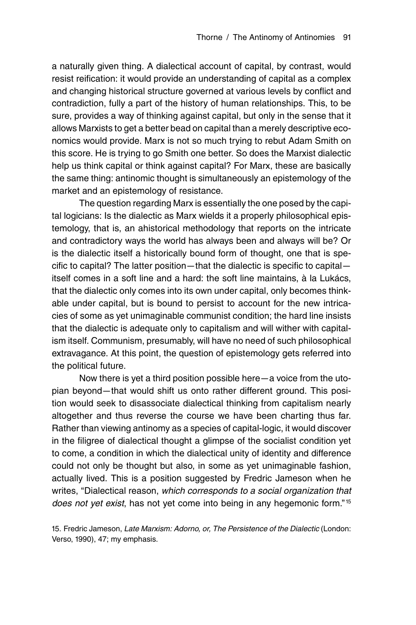a naturally given thing. A dialectical account of capital, by contrast, would resist reification: it would provide an understanding of capital as a complex and changing historical structure governed at various levels by conflict and contradiction, fully a part of the history of human relationships. This, to be sure, provides a way of thinking against capital, but only in the sense that it allows Marxists to get a better bead on capital than a merely descriptive economics would provide. Marx is not so much trying to rebut Adam Smith on this score. He is trying to go Smith one better. So does the Marxist dialectic help us think capital or think against capital? For Marx, these are basically the same thing: antinomic thought is simultaneously an epistemology of the market and an epistemology of resistance.

The question regarding Marx is essentially the one posed by the capital logicians: Is the dialectic as Marx wields it a properly philosophical epistemology, that is, an ahistorical methodology that reports on the intricate and contradictory ways the world has always been and always will be? Or is the dialectic itself a historically bound form of thought, one that is specific to capital? The latter position—that the dialectic is specific to capital itself comes in a soft line and a hard: the soft line maintains, à la Lukács, that the dialectic only comes into its own under capital, only becomes thinkable under capital, but is bound to persist to account for the new intricacies of some as yet unimaginable communist condition; the hard line insists that the dialectic is adequate only to capitalism and will wither with capitalism itself. Communism, presumably, will have no need of such philosophical extravagance. At this point, the question of epistemology gets referred into the political future.

Now there is yet a third position possible here—a voice from the utopian beyond—that would shift us onto rather different ground. This position would seek to disassociate dialectical thinking from capitalism nearly altogether and thus reverse the course we have been charting thus far. Rather than viewing antinomy as a species of capital-logic, it would discover in the filigree of dialectical thought a glimpse of the socialist condition yet to come, a condition in which the dialectical unity of identity and difference could not only be thought but also, in some as yet unimaginable fashion, actually lived. This is a position suggested by Fredric Jameson when he writes, "Dialectical reason, which corresponds to a social organization that does not yet exist, has not yet come into being in any hegemonic form."<sup>15</sup>

15. Fredric Jameson, Late Marxism: Adorno, or, The Persistence of the Dialectic (London: Verso, 1990), 47; my emphasis.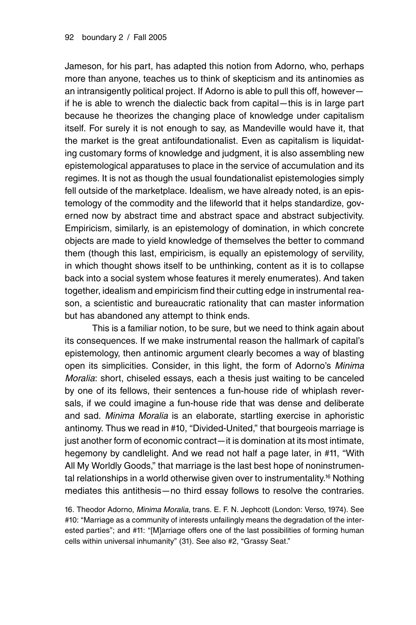Jameson, for his part, has adapted this notion from Adorno, who, perhaps more than anyone, teaches us to think of skepticism and its antinomies as an intransigently political project. If Adorno is able to pull this off, however if he is able to wrench the dialectic back from capital—this is in large part because he theorizes the changing place of knowledge under capitalism itself. For surely it is not enough to say, as Mandeville would have it, that the market is the great antifoundationalist. Even as capitalism is liquidating customary forms of knowledge and judgment, it is also assembling new epistemological apparatuses to place in the service of accumulation and its regimes. It is not as though the usual foundationalist epistemologies simply fell outside of the marketplace. Idealism, we have already noted, is an epistemology of the commodity and the lifeworld that it helps standardize, governed now by abstract time and abstract space and abstract subjectivity. Empiricism, similarly, is an epistemology of domination, in which concrete objects are made to yield knowledge of themselves the better to command them (though this last, empiricism, is equally an epistemology of servility, in which thought shows itself to be unthinking, content as it is to collapse back into a social system whose features it merely enumerates). And taken together, idealism and empiricism find their cutting edge in instrumental reason, a scientistic and bureaucratic rationality that can master information but has abandoned any attempt to think ends.

This is a familiar notion, to be sure, but we need to think again about its consequences. If we make instrumental reason the hallmark of capital's epistemology, then antinomic argument clearly becomes a way of blasting open its simplicities. Consider, in this light, the form of Adorno's Minima Moralia: short, chiseled essays, each a thesis just waiting to be canceled by one of its fellows, their sentences a fun-house ride of whiplash reversals, if we could imagine a fun-house ride that was dense and deliberate and sad. Minima Moralia is an elaborate, startling exercise in aphoristic antinomy. Thus we read in #10, "Divided-United," that bourgeois marriage is just another form of economic contract—it is domination at its most intimate, hegemony by candlelight. And we read not half a page later, in #11, ''With All My Worldly Goods,'' that marriage is the last best hope of noninstrumental relationships in a world otherwise given over to instrumentality.<sup>16</sup> Nothing mediates this antithesis—no third essay follows to resolve the contraries.

16. Theodor Adorno, Minima Moralia, trans. E. F. N. Jephcott (London: Verso, 1974). See #10: "Marriage as a community of interests unfailingly means the degradation of the interested parties''; and #11: ''[M]arriage offers one of the last possibilities of forming human cells within universal inhumanity'' (31). See also #2, ''Grassy Seat.''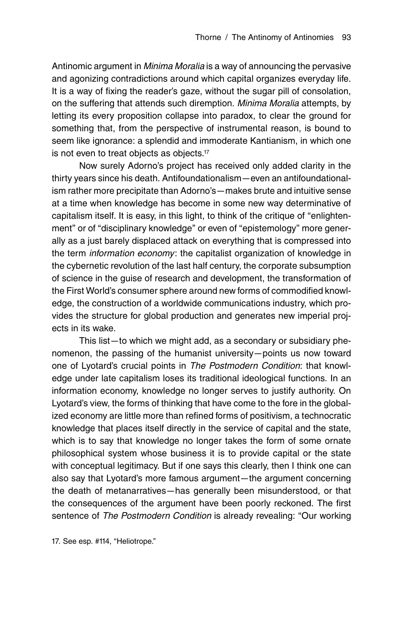Antinomic argument in *Minima Moralia* is a way of announcing the pervasive and agonizing contradictions around which capital organizes everyday life. It is a way of fixing the reader's gaze, without the sugar pill of consolation, on the suffering that attends such diremption. Minima Moralia attempts, by letting its every proposition collapse into paradox, to clear the ground for something that, from the perspective of instrumental reason, is bound to seem like ignorance: a splendid and immoderate Kantianism, in which one is not even to treat objects as objects.17

Now surely Adorno's project has received only added clarity in the thirty years since his death. Antifoundationalism—even an antifoundationalism rather more precipitate than Adorno's—makes brute and intuitive sense at a time when knowledge has become in some new way determinative of capitalism itself. It is easy, in this light, to think of the critique of ''enlightenment" or of "disciplinary knowledge" or even of "epistemology" more generally as a just barely displaced attack on everything that is compressed into the term information economy: the capitalist organization of knowledge in the cybernetic revolution of the last half century, the corporate subsumption of science in the guise of research and development, the transformation of the First World's consumer sphere around new forms of commodified knowledge, the construction of a worldwide communications industry, which provides the structure for global production and generates new imperial projects in its wake.

This list—to which we might add, as a secondary or subsidiary phenomenon, the passing of the humanist university—points us now toward one of Lyotard's crucial points in The Postmodern Condition: that knowledge under late capitalism loses its traditional ideological functions. In an information economy, knowledge no longer serves to justify authority. On Lyotard's view, the forms of thinking that have come to the fore in the globalized economy are little more than refined forms of positivism, a technocratic knowledge that places itself directly in the service of capital and the state, which is to say that knowledge no longer takes the form of some ornate philosophical system whose business it is to provide capital or the state with conceptual legitimacy. But if one says this clearly, then I think one can also say that Lyotard's more famous argument—the argument concerning the death of metanarratives—has generally been misunderstood, or that the consequences of the argument have been poorly reckoned. The first sentence of The Postmodern Condition is already revealing: "Our working

17. See esp. #114, "Heliotrope."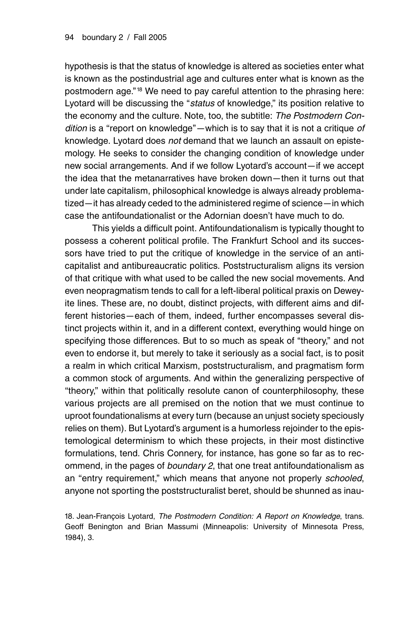hypothesis is that the status of knowledge is altered as societies enter what is known as the postindustrial age and cultures enter what is known as the postmodern age."<sup>18</sup> We need to pay careful attention to the phrasing here: Lyotard will be discussing the "status of knowledge," its position relative to the economy and the culture. Note, too, the subtitle: The Postmodern Condition is a "report on knowledge"—which is to say that it is not a critique of knowledge. Lyotard does not demand that we launch an assault on epistemology. He seeks to consider the changing condition of knowledge under new social arrangements. And if we follow Lyotard's account—if we accept the idea that the metanarratives have broken down—then it turns out that under late capitalism, philosophical knowledge is always already problematized—it has already ceded to the administered regime of science—in which case the antifoundationalist or the Adornian doesn't have much to do.

This yields a difficult point. Antifoundationalism is typically thought to possess a coherent political profile. The Frankfurt School and its successors have tried to put the critique of knowledge in the service of an anticapitalist and antibureaucratic politics. Poststructuralism aligns its version of that critique with what used to be called the new social movements. And even neopragmatism tends to call for a left-liberal political praxis on Deweyite lines. These are, no doubt, distinct projects, with different aims and different histories—each of them, indeed, further encompasses several distinct projects within it, and in a different context, everything would hinge on specifying those differences. But to so much as speak of "theory," and not even to endorse it, but merely to take it seriously as a social fact, is to posit a realm in which critical Marxism, poststructuralism, and pragmatism form a common stock of arguments. And within the generalizing perspective of ''theory,'' within that politically resolute canon of counterphilosophy, these various projects are all premised on the notion that we must continue to uproot foundationalisms at every turn (because an unjust society speciously relies on them). But Lyotard's argument is a humorless rejoinder to the epistemological determinism to which these projects, in their most distinctive formulations, tend. Chris Connery, for instance, has gone so far as to recommend, in the pages of boundary 2, that one treat antifoundationalism as an "entry requirement," which means that anyone not properly schooled, anyone not sporting the poststructuralist beret, should be shunned as inau-

18. Jean-Francois Lyotard, The Postmodern Condition: A Report on Knowledge, trans. Geoff Benington and Brian Massumi (Minneapolis: University of Minnesota Press, 1984), 3.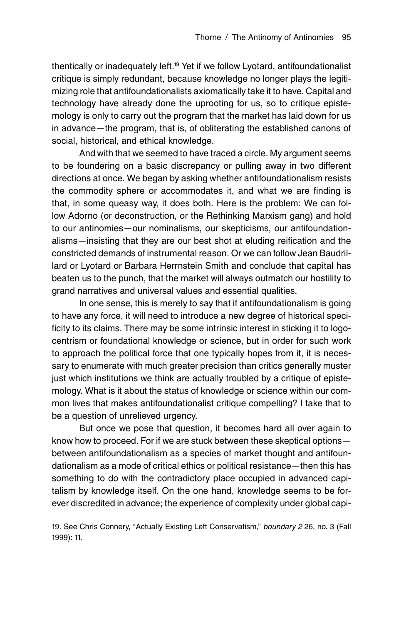thentically or inadequately left.19 Yet if we follow Lyotard, antifoundationalist critique is simply redundant, because knowledge no longer plays the legitimizing role that antifoundationalists axiomatically take it to have. Capital and technology have already done the uprooting for us, so to critique epistemology is only to carry out the program that the market has laid down for us in advance—the program, that is, of obliterating the established canons of social, historical, and ethical knowledge.

And with that we seemed to have traced a circle. My argument seems to be foundering on a basic discrepancy or pulling away in two different directions at once. We began by asking whether antifoundationalism resists the commodity sphere or accommodates it, and what we are finding is that, in some queasy way, it does both. Here is the problem: We can follow Adorno (or deconstruction, or the Rethinking Marxism gang) and hold to our antinomies—our nominalisms, our skepticisms, our antifoundationalisms—insisting that they are our best shot at eluding reification and the constricted demands of instrumental reason. Or we can follow Jean Baudrillard or Lyotard or Barbara Herrnstein Smith and conclude that capital has beaten us to the punch, that the market will always outmatch our hostility to grand narratives and universal values and essential qualities.

In one sense, this is merely to say that if antifoundationalism is going to have any force, it will need to introduce a new degree of historical specificity to its claims. There may be some intrinsic interest in sticking it to logocentrism or foundational knowledge or science, but in order for such work to approach the political force that one typically hopes from it, it is necessary to enumerate with much greater precision than critics generally muster just which institutions we think are actually troubled by a critique of epistemology. What is it about the status of knowledge or science within our common lives that makes antifoundationalist critique compelling? I take that to be a question of unrelieved urgency.

But once we pose that question, it becomes hard all over again to know how to proceed. For if we are stuck between these skeptical options between antifoundationalism as a species of market thought and antifoundationalism as a mode of critical ethics or political resistance—then this has something to do with the contradictory place occupied in advanced capitalism by knowledge itself. On the one hand, knowledge seems to be forever discredited in advance; the experience of complexity under global capi-

19. See Chris Connery, "Actually Existing Left Conservatism," boundary 2 26, no. 3 (Fall 1999): 11.